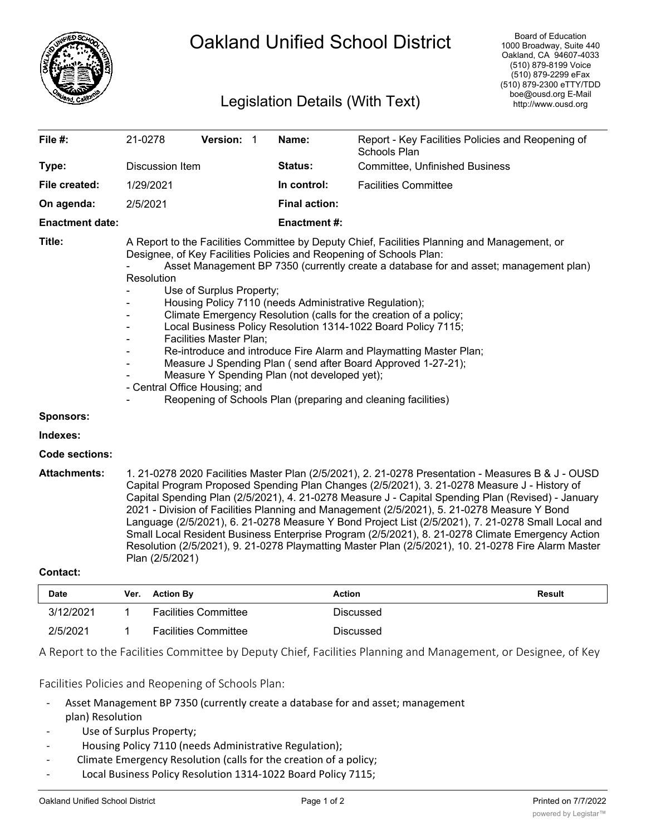

## Oakland Unified School District

## Legislation Details (With Text)

| File #:                | 21-0278                                                                                                                                                                                                                                                                                                                                                                                                                                                                                                                                                                                                                                                                                                                                                                                                                          | <b>Version: 1</b> |             | Name:                                 | Report - Key Facilities Policies and Reopening of<br>Schools Plan |  |  |
|------------------------|----------------------------------------------------------------------------------------------------------------------------------------------------------------------------------------------------------------------------------------------------------------------------------------------------------------------------------------------------------------------------------------------------------------------------------------------------------------------------------------------------------------------------------------------------------------------------------------------------------------------------------------------------------------------------------------------------------------------------------------------------------------------------------------------------------------------------------|-------------------|-------------|---------------------------------------|-------------------------------------------------------------------|--|--|
| Type:                  | Discussion Item                                                                                                                                                                                                                                                                                                                                                                                                                                                                                                                                                                                                                                                                                                                                                                                                                  |                   | Status:     | <b>Committee, Unfinished Business</b> |                                                                   |  |  |
| File created:          | 1/29/2021                                                                                                                                                                                                                                                                                                                                                                                                                                                                                                                                                                                                                                                                                                                                                                                                                        |                   | In control: | <b>Facilities Committee</b>           |                                                                   |  |  |
| On agenda:             | 2/5/2021                                                                                                                                                                                                                                                                                                                                                                                                                                                                                                                                                                                                                                                                                                                                                                                                                         |                   |             | <b>Final action:</b>                  |                                                                   |  |  |
| <b>Enactment date:</b> |                                                                                                                                                                                                                                                                                                                                                                                                                                                                                                                                                                                                                                                                                                                                                                                                                                  |                   |             | <b>Enactment#:</b>                    |                                                                   |  |  |
| Title:                 | A Report to the Facilities Committee by Deputy Chief, Facilities Planning and Management, or<br>Designee, of Key Facilities Policies and Reopening of Schools Plan:<br>Asset Management BP 7350 (currently create a database for and asset; management plan)<br>Resolution<br>Use of Surplus Property;<br>Housing Policy 7110 (needs Administrative Regulation);<br>Climate Emergency Resolution (calls for the creation of a policy;<br>Local Business Policy Resolution 1314-1022 Board Policy 7115;<br><b>Facilities Master Plan;</b><br>Re-introduce and introduce Fire Alarm and Playmatting Master Plan;<br>Measure J Spending Plan (send after Board Approved 1-27-21);<br>Measure Y Spending Plan (not developed yet);<br>- Central Office Housing; and<br>Reopening of Schools Plan (preparing and cleaning facilities) |                   |             |                                       |                                                                   |  |  |
| Sponsors:              |                                                                                                                                                                                                                                                                                                                                                                                                                                                                                                                                                                                                                                                                                                                                                                                                                                  |                   |             |                                       |                                                                   |  |  |
| Indexes:               |                                                                                                                                                                                                                                                                                                                                                                                                                                                                                                                                                                                                                                                                                                                                                                                                                                  |                   |             |                                       |                                                                   |  |  |
| Code sections:         |                                                                                                                                                                                                                                                                                                                                                                                                                                                                                                                                                                                                                                                                                                                                                                                                                                  |                   |             |                                       |                                                                   |  |  |
| <b>Attachments:</b>    | 1. 21-0278 2020 Facilities Master Plan (2/5/2021), 2. 21-0278 Presentation - Measures B & J - OUSD<br>Capital Program Proposed Spending Plan Changes (2/5/2021), 3. 21-0278 Measure J - History of                                                                                                                                                                                                                                                                                                                                                                                                                                                                                                                                                                                                                               |                   |             |                                       |                                                                   |  |  |

Capital Program Proposed Spending Plan Changes (2/5/2021), 3. 21-0278 Measure J - History of Capital Spending Plan (2/5/2021), 4. 21-0278 Measure J - Capital Spending Plan (Revised) - January 2021 - Division of Facilities Planning and Management (2/5/2021), 5. 21-0278 Measure Y Bond Language (2/5/2021), 6. 21-0278 Measure Y Bond Project List (2/5/2021), 7. 21-0278 Small Local and Small Local Resident Business Enterprise Program (2/5/2021), 8. 21-0278 Climate Emergency Action Resolution (2/5/2021), 9. 21-0278 Playmatting Master Plan (2/5/2021), 10. 21-0278 Fire Alarm Master Plan (2/5/2021)

## **Contact:**

| <b>Date</b> | Ver. | <b>Action By</b>            | <b>Action</b> | Result |
|-------------|------|-----------------------------|---------------|--------|
| 3/12/2021   |      | <b>Facilities Committee</b> | Discussed     |        |
| 2/5/2021    |      | <b>Facilities Committee</b> | Discussed     |        |

A Report to the Facilities Committee by Deputy Chief, Facilities Planning and Management, or Designee, of Key

Facilities Policies and Reopening of Schools Plan:

- Asset Management BP 7350 (currently create a database for and asset; management plan) Resolution
- Use of Surplus Property;
- Housing Policy 7110 (needs Administrative Regulation);
- Climate Emergency Resolution (calls for the creation of a policy;
- Local Business Policy Resolution 1314-1022 Board Policy 7115;